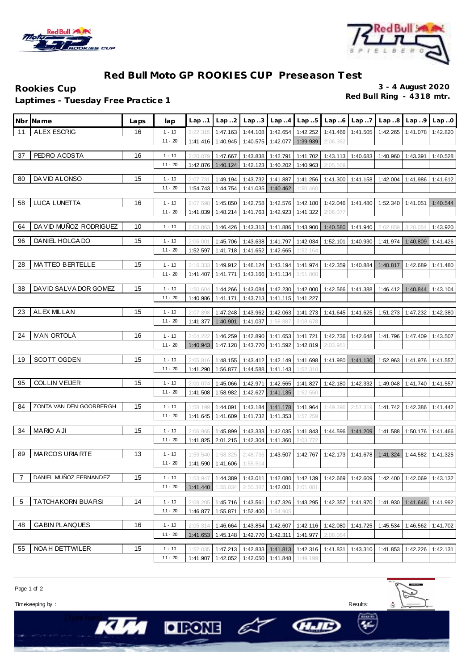



## **Red Bull Moto GP ROOKIES CUP Preseason Test**

**Red Bull Ring - 4318 mtr. Laptimes - Tuesday Free Practice 1**

**Rookies Cup 3 - 4 August 2020**

|                | Nbr¶Name                 | Laps | lap       | Lap.1                | Lap.2                      | Lap.3                      | Lap.4                      | Lap.5                      | Lap.6    | Lap.7    | Lap.8             | Lap.9             | Lap.0    |
|----------------|--------------------------|------|-----------|----------------------|----------------------------|----------------------------|----------------------------|----------------------------|----------|----------|-------------------|-------------------|----------|
| 11             | <b>ALEX ESCRIG</b>       | 16   | $1 - 10$  | 2:22.315             |                            | 1:47.163 1:44.108 1:42.654 |                            | 1:42.252                   | 1:41.466 | 1:41.505 | 1:42.265          | 1:41.078          | 1:42.820 |
|                |                          |      | $11 - 20$ | 1:41.416             | 1:40.945                   |                            | 1:40.575 1:42.077          | 1:39.939                   | 2:06.382 |          |                   |                   |          |
| 37             | PEDRO ACOSTA             | 16   | $1 - 10$  | 2:20.07              | 1:47.667                   | 1:43.838                   | 1:42.791                   | 1:41.702                   | 1:43.113 |          | 1:40.683 1:40.960 | 1:43.391          | 1:40.528 |
|                |                          |      | $11 - 20$ | 1:42.876             | 1:40.124                   | 1:42.123                   | 1:40.202                   | 1:40.963                   | 2:05.509 |          |                   |                   |          |
| 80             | DA VID ALONSO            | 15   | $1 - 10$  | 2:07.73              | 1:49.194                   | 1:43.732                   | 1:41.887                   | 1:41.256                   | 1:41.300 | 1:41.158 | 1:42.004          | 1:41.986          | 1:41.612 |
|                |                          |      | $11 - 20$ | 1:54.743             | 1:44.754                   | 1:41.035                   | 1:40.462                   | 1:50.460                   |          |          |                   |                   |          |
| 58             | LUCA LUNETTA             | 16   | $1 - 10$  | 2:07.598             | 1:45.850                   |                            | 1:42.758 1:42.576 1:42.180 |                            | 1:42.046 | 1:41.480 | 1:52.340          | 1:41.051 1:40.544 |          |
|                |                          |      | $11 - 20$ | 1:41.039             | 1:48.214                   | 1:41.763                   | 1:42.923                   | 1:41.322                   | 2:06.07  |          |                   |                   |          |
|                |                          |      |           |                      |                            |                            |                            |                            |          |          |                   |                   |          |
| 64             | DA VID MUÑOZ RODRIGUEZ   | 10   | $1 - 10$  | 2:03.863             | 1:46.426                   |                            | 1:43.313 1:41.886          | 1:43.900                   | 1:40.580 | 1:41.940 | 2:02.859          | 3:20.054          | 1:43.920 |
| 96             | DANIEL HOLGA DO          | 15   | $1 - 10$  | 2:06.00              | 1:45.706                   |                            | 1:43.638 1:41.797          | 1:42.034                   | 1:52.101 | 1:40.930 | 1:41.974          | 1:40.809          | 1:41.426 |
|                |                          |      | $11 - 20$ | 1:52.597             | 1:41.718                   | 1:41.652                   | 1:42.665                   | 1:52.164                   |          |          |                   |                   |          |
| 28             | MATTEO BERTELLE          | 15   | $1 - 10$  | 2:16.33              | 1:49.912                   |                            | $1:46.124$ 1:43.194        | 1:41.974                   | 1:42.359 | 1:40.884 | 1:40.817          | 1:42.689          | 1:41.480 |
|                |                          |      | $11 - 20$ | 1:41.407             | 1:41.771                   | 1:43.166                   | 1:41.134                   | 1:51.800                   |          |          |                   |                   |          |
| 38             | DAVID SALVA DOR GOMEZ    | 15   | $1 - 10$  |                      | 1:44.266                   | 1:43.084                   |                            | 1:42.230 1:42.000          | 1:42.566 | 1:41.388 | 1:46.412          | 1:40.844          | 1:43.104 |
|                |                          |      | $11 - 20$ | 1:50.604<br>1:40.986 | 1:41.171                   | 1:43.713                   | 1:41.115                   | 1:41.227                   |          |          |                   |                   |          |
|                |                          |      |           |                      |                            |                            |                            |                            |          |          |                   |                   |          |
| 23             | <b>ALEX MILLAN</b>       | 15   | $1 - 10$  | 2:07.89              | 1:47.248                   | 1:43.962                   | 1:42.063                   | 1:41.273                   | 1:41.645 | 1:41.625 | 1:51.273          | 1:47.232          | 1:42.380 |
|                |                          |      | $11 - 20$ | 1:41.377             | 1:40.901                   | 1:41.037                   | 1:58.887                   | 3:08.678                   |          |          |                   |                   |          |
| 24             | <b>IVAN ORTOLÁ</b>       | 16   | $1 - 10$  | 2:04.22              | 1:46.259                   | 1:42.890                   | 1:41.653                   | 1:41.721                   | 1:42.736 | 1:42.648 | 1:41.796          | 1:47.409          | 1:43.507 |
|                |                          |      | $11 - 20$ | 1:40.943             | 1:47.128                   | 1:43.770                   | 1:41.592                   | 1:42.819                   | 2:03.961 |          |                   |                   |          |
| 19             | <b>SCOTT OGDEN</b>       | 15   | $1 - 10$  | 2:05.81              | 1:48.155                   | 1:43.412                   | 1:42.149                   | 1:41.698                   | 1:41.980 | 1:41.130 | 1:52.963          | 1:41.976          | 1:41.557 |
|                |                          |      | $11 - 20$ | 1:41.290             | 1:56.877                   | 1:44.588                   | 1:41.143                   | 1:52.310                   |          |          |                   |                   |          |
| 95             | <b>COLLIN VEIJER</b>     | 15   | $1 - 10$  | 2:00.074             | 1:45.066                   | 1:42.971                   | 1:42.565                   | 1:41.827                   | 1:42.180 | 1:42.332 | 1:49.048          | 1:41.740          | 1:41.557 |
|                |                          |      | $11 - 20$ | 1:41.508             | 1:58.982                   | 1:42.627                   | 1:41.135                   | 1:52.550                   |          |          |                   |                   |          |
|                |                          |      |           |                      |                            |                            |                            |                            |          |          |                   |                   |          |
| 84             | ZONTA VAN DEN GOORBERGH  | 15   | $1 - 10$  | 1:58.199             | 1:44.091                   | 1:43.184                   | 1:41.178                   | 1:41.964                   | 1:49.396 | 2:57.319 | 1:41.742          | 1:42.386          | 1:41.442 |
|                |                          |      | $11 - 20$ | 1:41.645             | 1:41.609                   | 1:41.732                   | 1:41.353                   | 1:57.259                   |          |          |                   |                   |          |
| 34             | <b>MARIO AJI</b>         | 15   | $1 - 10$  | 2:06.965             | 1:45.899                   | 1:43.333                   | 1:42.035                   | 1:41.843                   | 1:44.596 | 1:41.209 | 1:41.588          | 1:50.176          | 1:41.466 |
|                |                          |      | $11 - 20$ | 1:41.825             | 2:01.215                   | 1:42.304                   | 1:41.360                   | 2:03.772                   |          |          |                   |                   |          |
| 89             | <b>MARCOS URIARTE</b>    | 13   | $1 - 10$  | 1:59.540             | 1:58.325                   | 2:48.736                   | 1:43.507                   | 1:42.767                   | 1:42.173 | 1:41.678 | 1:41.324          | 1:44.582          | 1:41.325 |
|                |                          |      | $11 - 20$ |                      | 1:41.590 1:41.606 1:55.514 |                            |                            |                            |          |          |                   |                   |          |
| $\overline{7}$ | DANIEL MUÑOZ FERNANDEZ   | 15   | $1 - 10$  | 1:53.947             | 1:44.389                   |                            |                            | 1:43.011 1:42.080 1:42.139 | 1:42.669 | 1:42.609 | 1:42.400          | 1:42.069          | 1:43.132 |
|                |                          |      | $11 - 20$ | 1:41.440             | 1:55.034                   | 2:50.387                   | 1:42.001                   | 2:01.081                   |          |          |                   |                   |          |
|                |                          |      |           |                      |                            |                            |                            |                            |          |          |                   |                   |          |
| 5              | <b>TATCHAKORN BUARSI</b> | 14   | $1 - 10$  | 2:09.205             | 1:45.716                   | 1:43.561                   | 1:47.326                   | 1:43.295                   | 1:42.357 | 1:41.970 | 1:41.930          | 1:41.646          | 1:41.992 |
|                |                          |      | $11 - 20$ | 1:46.877             | 1:55.871                   | 1:52.400                   | 1:54.905                   |                            |          |          |                   |                   |          |
| 48             | <b>GABIN PLANQUES</b>    | 16   | $1 - 10$  | 2:05.314             | 1:46.664                   |                            |                            | 1:43.854 1:42.607 1:42.116 | 1:42.080 | 1:41.725 | 1:45.534          | 1:46.562          | 1:41.702 |
|                |                          |      | $11 - 20$ | 1:41.653             | 1:45.148                   |                            | 1:42.770 1:42.311          | 1:41.977                   | 2:06.064 |          |                   |                   |          |
| 55             | NOA H DETTWILER          | 15   | $1 - 10$  | 1:52.035             | 1:47.213                   |                            |                            | 1:42.833 1:41.813 1:42.316 | 1:41.831 | 1:43.310 | 1:41.853          | 1:42.226          | 1:42.131 |
|                |                          |      | $11 - 20$ | 1:41.907             | 1:42.052                   |                            | 1:42.050 1:41.848          | 1:49.199                   |          |          |                   |                   |          |

 $OIFORB \n\epsilon$ 

Page 1 of 2

Timekeeping by : Results:

KIM



GLIE